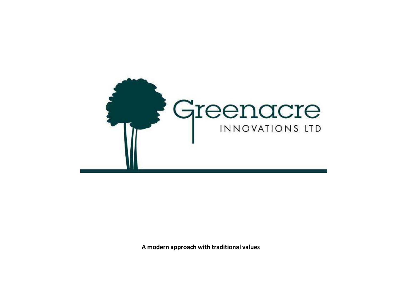

**A modern approach with traditional values**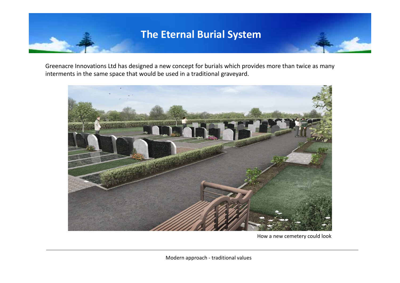### **The Eternal Burial System**

Greenacre Innovations Ltd has designed a new concept for burials which provides more than twice as many interments in the same space that would be used in a traditional graveyard.



How a new cemetery could look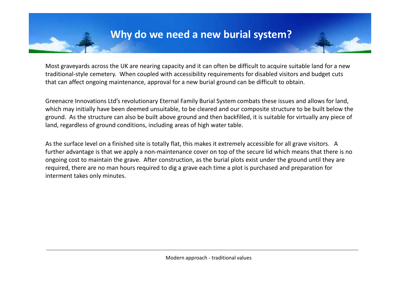Most graveyards across the UK are nearing capacity and it can often be difficult to acquire suitable land for a new traditional-style cemetery. When coupled with accessibility requirements for disabled visitors and budget cuts that can affect ongoing maintenance, approval for a new burial ground can be difficult to obtain.

Greenacre Innovations Ltd's revolutionary Eternal Family Burial System combats these issues and allows for land, which may initially have been deemed unsuitable, to be cleared and our composite structure to be built below the ground. As the structure can also be built above ground and then backfilled, it is suitable for virtually any piece of land, regardless of ground conditions, including areas of high water table.

As the surface level on a finished site is totally flat, this makes it extremely accessible for all grave visitors. A further advantage is that we apply a non-maintenance cover on top of the secure lid which means that there is no ongoing cost to maintain the grave. After construction, as the burial plots exist under the ground until they are required, there are no man hours required to dig a grave each time a plot is purchased and preparation for interment takes only minutes.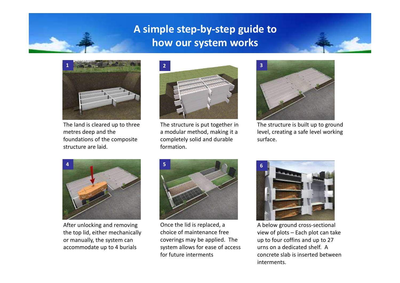## **A simple step-by-step guide to how our system works**



The land is cleared up to three metres deep and the foundations of the composite structure are laid.



The structure is put together in a modular method, making it a completely solid and durable formation.



The structure is built up to ground level, creating a safe level working surface.



After unlocking and removing the top lid, either mechanically or manually, the system can accommodate up to 4 burials



Once the lid is replaced, a choice of maintenance free coverings may be applied. The system allows for ease of access for future interments



A below ground cross-sectional view of plots – Each plot can take up to four coffins and up to 27 urns on a dedicated shelf. A concrete slab is inserted between interments.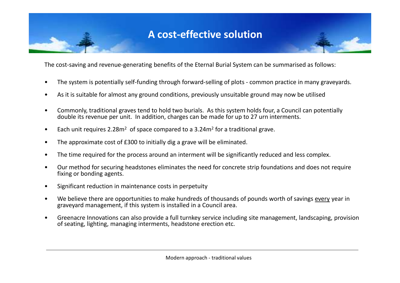### **A cost-effective solution**

The cost-saving and revenue-generating benefits of the Eternal Burial System can be summarised as follows:

- The system is potentially self-funding through forward-selling of plots common practice in many graveyards.
- As it is suitable for almost any ground conditions, previously unsuitable ground may now be utilised
- Commonly, traditional graves tend to hold two burials. As this system holds four, a Council can potentially double its revenue per unit. In addition, charges can be made for up to 27 urn interments.
- Each unit requires  $2.28m^2$  of space compared to a  $3.24m^2$  for a traditional grave.
- The approximate cost of £300 to initially dig a grave will be eliminated.
- The time required for the process around an interment will be significantly reduced and less complex.
- Our method for securing headstones eliminates the need for concrete strip foundations and does not require fixing or bonding agents.
- Significant reduction in maintenance costs in perpetuity
- We believe there are opportunities to make hundreds of thousands of pounds worth of savings every year in graveyard management, if this system is installed in a Council area.
- Greenacre Innovations can also provide a full turnkey service including site management, landscaping, provision of seating, lighting, managing interments, headstone erection etc.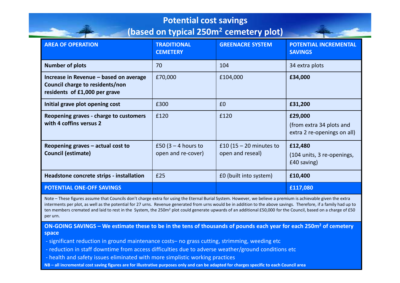#### **Potential cost savings**

#### **(based on typical 250m<sup>2</sup> cemetery plot)**

| <b>AREA OF OPERATION</b>                                                                                   | <b>TRADITIONAL</b><br><b>CEMETERY</b>       | <b>GREENACRE SYSTEM</b>                       | <b>POTENTIAL INCREMENTAL</b><br><b>SAVINGS</b>                     |
|------------------------------------------------------------------------------------------------------------|---------------------------------------------|-----------------------------------------------|--------------------------------------------------------------------|
| <b>Number of plots</b>                                                                                     | 70                                          | 104                                           | 34 extra plots                                                     |
| Increase in Revenue – based on average<br>Council charge to residents/non<br>residents of £1,000 per grave | £70,000                                     | £104,000                                      | £34,000                                                            |
| Initial grave plot opening cost                                                                            | £300                                        | £0                                            | £31,200                                                            |
| Reopening graves - charge to customers<br>with 4 coffins versus 2                                          | £120                                        | £120                                          | £29,000<br>(from extra 34 plots and<br>extra 2 re-openings on all) |
| Reopening graves $-$ actual cost to<br><b>Council (estimate)</b>                                           | £50 (3 $-$ 4 hours to<br>open and re-cover) | £10 (15 $-$ 20 minutes to<br>open and reseal) | £12,480<br>(104 units, 3 re-openings,<br>£40 saving)               |
| Headstone concrete strips - installation                                                                   | £25                                         | £0 (built into system)                        | £10,400                                                            |
| <b>POTENTIAL ONE-OFF SAVINGS</b>                                                                           |                                             |                                               | £117,080                                                           |

Note – These figures assume that Councils don't charge extra for using the Eternal Burial System. However, we believe a premium is achievable given the extra interments per plot, as well as the potential for 27 urns. Revenue generated from urns would be in addition to the above savings. Therefore, if a family had up to ten members cremated and laid to rest in the System, the 250m<sup>2</sup> plot could generate upwards of an additional £50,000 for the Council, based on a charge of £50 per urn.

**ON-GOING SAVINGS – We estimate these to be in the tens of thousands of pounds each year for each 250m<sup>2</sup> of cemetery space**

- significant reduction in ground maintenance costs– no grass cutting, strimming, weeding etc
- reduction in staff downtime from access difficulties due to adverse weather/ground conditions etc
- health and safety issues eliminated with more simplistic working practices
- **NB all incremental cost saving figures are for illustrative purposes only and can be adapted for charges specific to each Council area**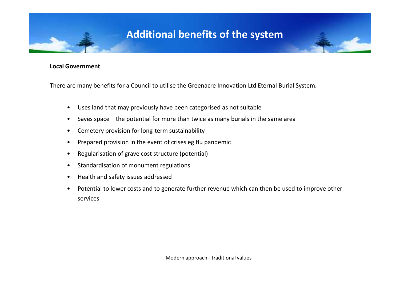### **Additional benefits of the system**

#### **Local Government**

There are many benefits for a Council to utilise the Greenacre Innovation Ltd Eternal Burial System.

- Uses land that may previously have been categorised as not suitable
- Saves space the potential for more than twice as many burials in the same area
- Cemetery provision for long-term sustainability
- Prepared provision in the event of crises eg flu pandemic
- Regularisation of grave cost structure (potential)
- Standardisation of monument regulations
- Health and safety issues addressed
- Potential to lower costs and to generate further revenue which can then be used to improve other services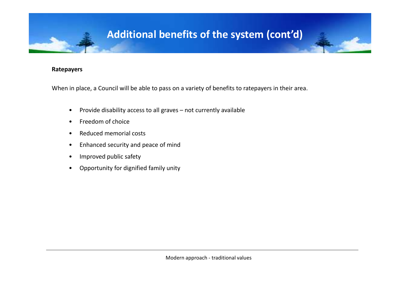# **Additional benefits of the system (cont'd)**

#### **Ratepayers**

When in place, a Council will be able to pass on a variety of benefits to ratepayers in their area.

- Provide disability access to all graves not currently available
- Freedom of choice
- Reduced memorial costs
- Enhanced security and peace of mind
- Improved public safety
- Opportunity for dignified family unity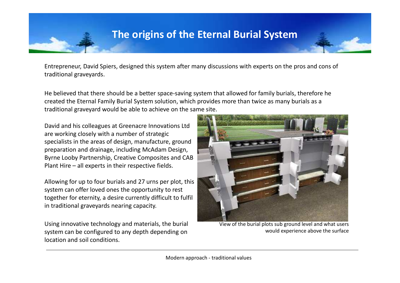Entrepreneur, David Spiers, designed this system after many discussions with experts on the pros and cons of traditional graveyards.

He believed that there should be a better space-saving system that allowed for family burials, therefore he created the Eternal Family Burial System solution, which provides more than twice as many burials as a traditional graveyard would be able to achieve on the same site.

David and his colleagues at Greenacre Innovations Ltd are working closely with a number of strategic specialists in the areas of design, manufacture, ground preparation and drainage, including McAdam Design, Byrne Looby Partnership, Creative Composites and CAB Plant Hire – all experts in their respective fields.

Allowing for up to four burials and 27 urns per plot, this system can offer loved ones the opportunity to rest together for eternity, a desire currently difficult to fulfil in traditional graveyards nearing capacity.

Using innovative technology and materials, the burial system can be configured to any depth depending on location and soil conditions.



View of the burial plots sub ground level and what users would experience above the surface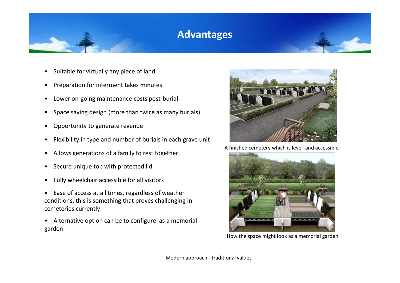### **Advantages**

- Suitable for virtually any piece of land
- Preparation for interment takes minutes
- Lower on-going maintenance costs post-burial
- Space saving design (more than twice as many burials)
- Opportunity to generate revenue
- Flexibility in type and number of burials in each grave unit
- Allows generations of a family to rest together
- Secure unique top with protected lid
- Fully wheelchair accessible for all visitors
- Ease of access at all times, regardless of weather conditions, this is something that proves challenging in cemeteries currently
- Alternative option can be to configure as a memorial garden



A finished cemetery which is level and accessible



How the space might look as a memorial garden